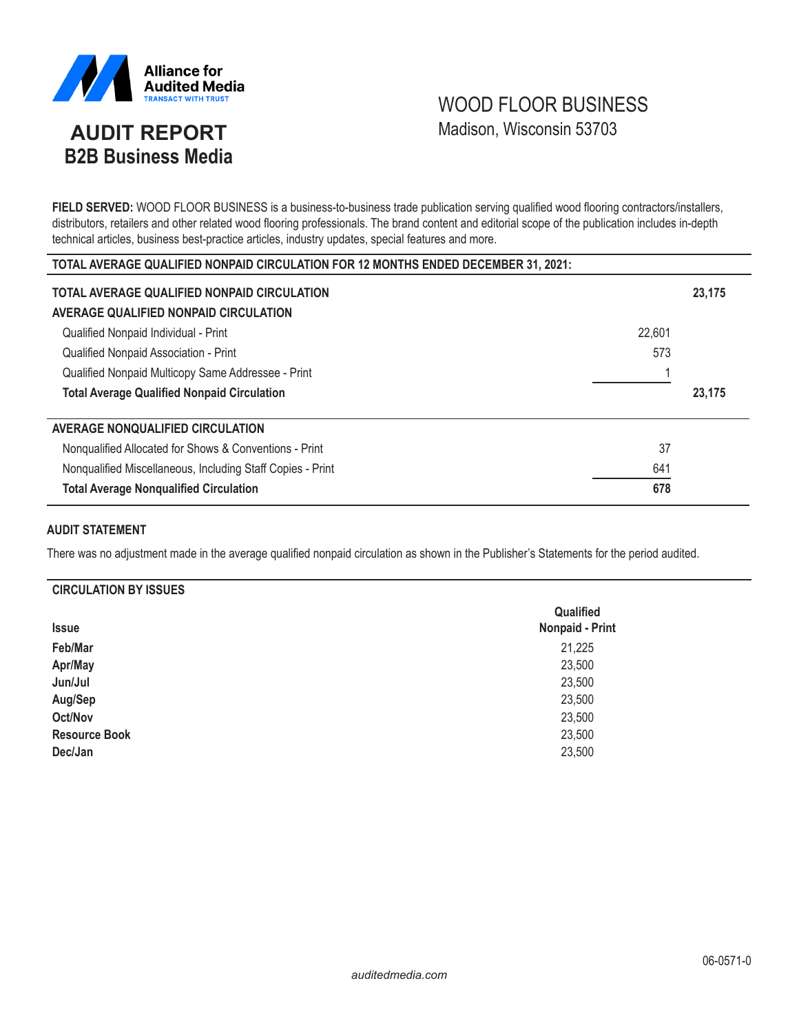

# WOOD FLOOR BUSINESS Madison, Wisconsin 53703

# **AUDIT REPORT B2B Business Media**

**FIELD SERVED:** WOOD FLOOR BUSINESS is a business-to-business trade publication serving qualified wood flooring contractors/installers, distributors, retailers and other related wood flooring professionals. The brand content and editorial scope of the publication includes in-depth technical articles, business best-practice articles, industry updates, special features and more.

| TOTAL AVERAGE QUALIFIED NONPAID CIRCULATION FOR 12 MONTHS ENDED DECEMBER 31, 2021: |        |        |  |  |
|------------------------------------------------------------------------------------|--------|--------|--|--|
| TOTAL AVERAGE QUALIFIED NONPAID CIRCULATION                                        |        | 23,175 |  |  |
| AVERAGE QUALIFIED NONPAID CIRCULATION                                              |        |        |  |  |
| Qualified Nonpaid Individual - Print                                               | 22,601 |        |  |  |
| Qualified Nonpaid Association - Print                                              | 573    |        |  |  |
| Qualified Nonpaid Multicopy Same Addressee - Print                                 |        |        |  |  |
|                                                                                    |        |        |  |  |
| <b>Total Average Qualified Nonpaid Circulation</b>                                 |        | 23,175 |  |  |
| AVERAGE NONQUALIFIED CIRCULATION                                                   |        |        |  |  |
| Nonqualified Allocated for Shows & Conventions - Print                             | 37     |        |  |  |
| Nonqualified Miscellaneous, Including Staff Copies - Print                         | 641    |        |  |  |

# **AUDIT STATEMENT**

There was no adjustment made in the average qualified nonpaid circulation as shown in the Publisher's Statements for the period audited.

# **CIRCULATION BY ISSUES**

| <b>Issue</b>         | Qualified<br><b>Nonpaid - Print</b> |
|----------------------|-------------------------------------|
| Feb/Mar              | 21,225                              |
| Apr/May              | 23,500                              |
| Jun/Jul              | 23,500                              |
| Aug/Sep              | 23,500                              |
| Oct/Nov              | 23,500                              |
| <b>Resource Book</b> | 23,500                              |
| Dec/Jan              | 23,500                              |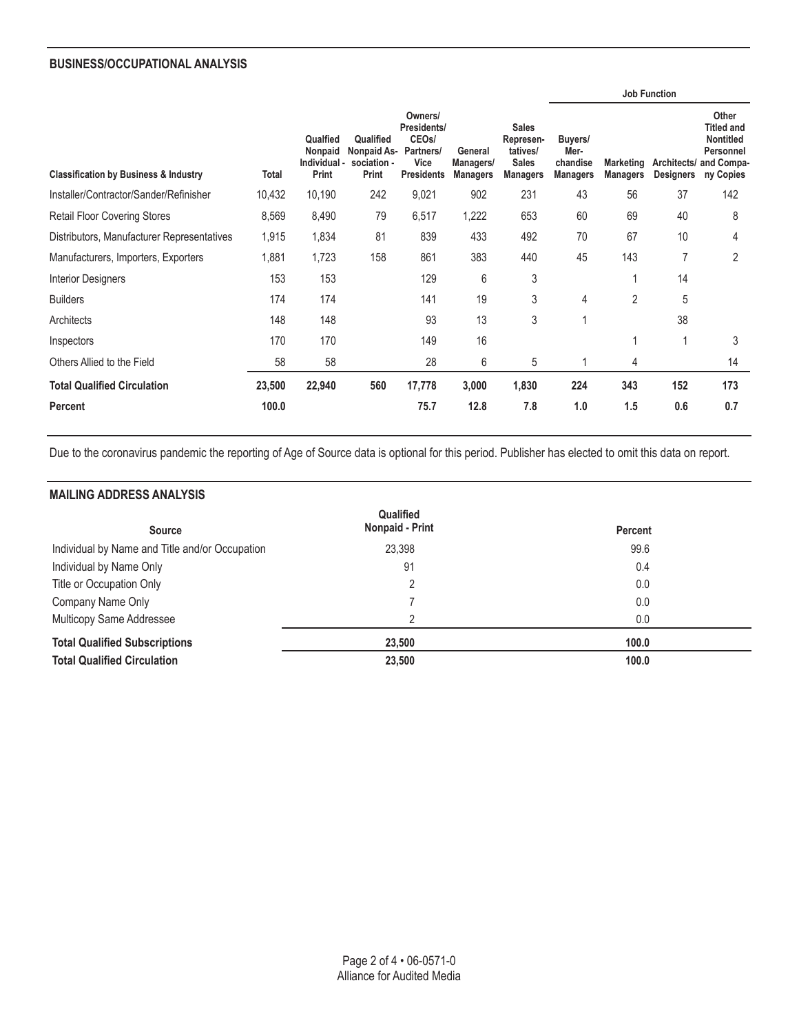# **BUSINESS/OCCUPATIONAL ANALYSIS**

|                                                  |              |                                              |                                                  |                                                                                        |                                         |                                                                          |                                                |                                     | <b>Job Function</b>             |                                                                                        |
|--------------------------------------------------|--------------|----------------------------------------------|--------------------------------------------------|----------------------------------------------------------------------------------------|-----------------------------------------|--------------------------------------------------------------------------|------------------------------------------------|-------------------------------------|---------------------------------|----------------------------------------------------------------------------------------|
| <b>Classification by Business &amp; Industry</b> | <b>Total</b> | Qualfied<br>Nonpaid<br>Individual -<br>Print | Qualified<br>Nonpaid As-<br>sociation -<br>Print | Owners/<br>Presidents/<br>CEO <sub>s</sub> /<br>Partners/<br>Vice<br><b>Presidents</b> | General<br>Managers/<br><b>Managers</b> | <b>Sales</b><br>Represen-<br>tatives/<br><b>Sales</b><br><b>Managers</b> | Buyers/<br>Mer-<br>chandise<br><b>Managers</b> | <b>Marketing</b><br><b>Managers</b> | Architects/<br><b>Designers</b> | Other<br><b>Titled and</b><br><b>Nontitled</b><br>Personnel<br>and Compa-<br>ny Copies |
| Installer/Contractor/Sander/Refinisher           | 10,432       | 10,190                                       | 242                                              | 9,021                                                                                  | 902                                     | 231                                                                      | 43                                             | 56                                  | 37                              | 142                                                                                    |
| <b>Retail Floor Covering Stores</b>              | 8,569        | 8,490                                        | 79                                               | 6,517                                                                                  | 1,222                                   | 653                                                                      | 60                                             | 69                                  | 40                              | 8                                                                                      |
| Distributors, Manufacturer Representatives       | 1,915        | 1,834                                        | 81                                               | 839                                                                                    | 433                                     | 492                                                                      | 70                                             | 67                                  | 10                              | 4                                                                                      |
| Manufacturers, Importers, Exporters              | 1,881        | 1,723                                        | 158                                              | 861                                                                                    | 383                                     | 440                                                                      | 45                                             | 143                                 | $\overline{7}$                  | $\overline{2}$                                                                         |
| <b>Interior Designers</b>                        | 153          | 153                                          |                                                  | 129                                                                                    | 6                                       | 3                                                                        |                                                |                                     | 14                              |                                                                                        |
| <b>Builders</b>                                  | 174          | 174                                          |                                                  | 141                                                                                    | 19                                      | 3                                                                        | 4                                              | $\overline{2}$                      | 5                               |                                                                                        |
| Architects                                       | 148          | 148                                          |                                                  | 93                                                                                     | 13                                      | 3                                                                        | 1                                              |                                     | 38                              |                                                                                        |
| Inspectors                                       | 170          | 170                                          |                                                  | 149                                                                                    | 16                                      |                                                                          |                                                |                                     | 1                               | 3                                                                                      |
| Others Allied to the Field                       | 58           | 58                                           |                                                  | 28                                                                                     | 6                                       | 5                                                                        |                                                | 4                                   |                                 | 14                                                                                     |
| <b>Total Qualified Circulation</b>               | 23,500       | 22,940                                       | 560                                              | 17,778                                                                                 | 3,000                                   | 1,830                                                                    | 224                                            | 343                                 | 152                             | 173                                                                                    |
| <b>Percent</b>                                   | 100.0        |                                              |                                                  | 75.7                                                                                   | 12.8                                    | 7.8                                                                      | 1.0                                            | 1.5                                 | 0.6                             | 0.7                                                                                    |

Due to the coronavirus pandemic the reporting of Age of Source data is optional for this period. Publisher has elected to omit this data on report.

# **MAILING ADDRESS ANALYSIS**

| Qualified                                      |                 |                |  |
|------------------------------------------------|-----------------|----------------|--|
| <b>Source</b>                                  | Nonpaid - Print | <b>Percent</b> |  |
| Individual by Name and Title and/or Occupation | 23,398          | 99.6           |  |
| Individual by Name Only                        | 91              | 0.4            |  |
| Title or Occupation Only                       | 2               | 0.0            |  |
| Company Name Only                              |                 | 0.0            |  |
| Multicopy Same Addressee                       | 2               | 0.0            |  |
| <b>Total Qualified Subscriptions</b>           | 23,500          | 100.0          |  |
| <b>Total Qualified Circulation</b>             | 23,500          | 100.0          |  |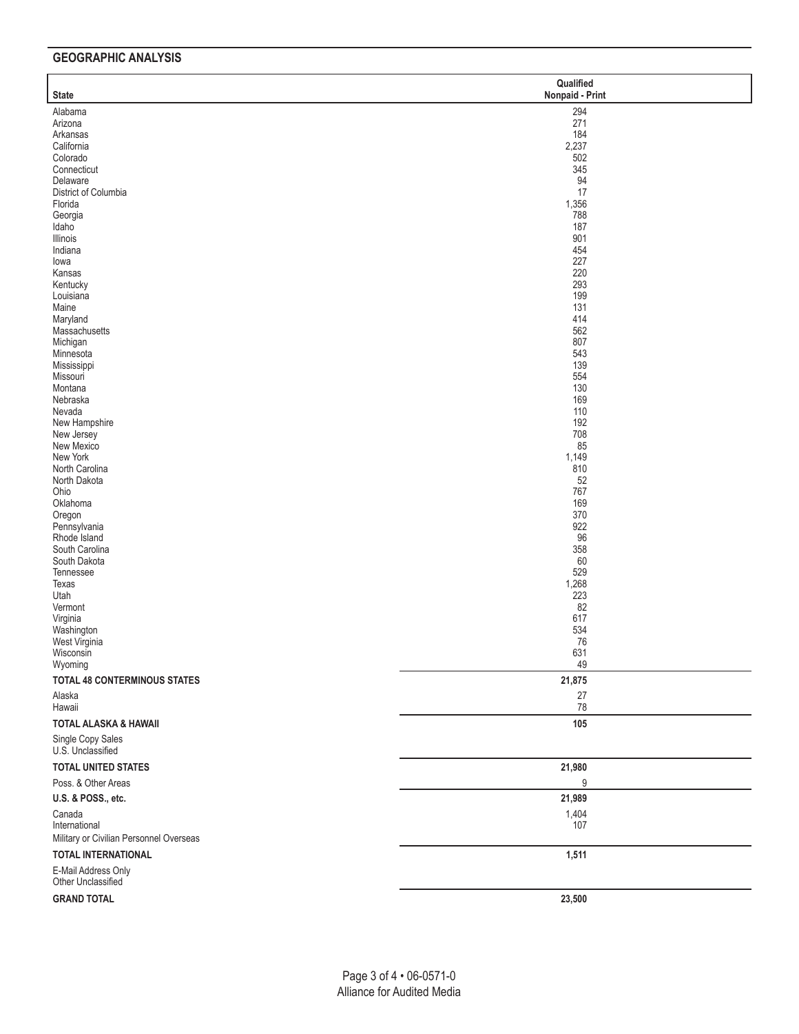# **GEOGRAPHIC ANALYSIS**

| <b>State</b>                            | Qualified<br>Nonpaid - Print |
|-----------------------------------------|------------------------------|
| Alabama                                 | 294                          |
| Arizona                                 | 271                          |
| Arkansas<br>California                  | 184<br>2,237                 |
| Colorado                                | 502                          |
| Connecticut                             | 345                          |
| Delaware                                | 94                           |
| District of Columbia                    | 17                           |
| Florida                                 | 1,356                        |
| Georgia                                 | 788                          |
| Idaho<br>Illinois                       | 187<br>901                   |
| Indiana                                 | 454                          |
| lowa                                    | 227                          |
| Kansas                                  | 220                          |
| Kentucky                                | 293                          |
| Louisiana                               | 199                          |
| Maine                                   | 131<br>414                   |
| Maryland<br>Massachusetts               | 562                          |
| Michigan                                | 807                          |
| Minnesota                               | 543                          |
| Mississippi                             | 139                          |
| Missouri                                | 554                          |
| Montana                                 | 130                          |
| Nebraska                                | 169                          |
| Nevada<br>New Hampshire                 | 110<br>192                   |
| New Jersey                              | 708                          |
| New Mexico                              | 85                           |
| New York                                | 1,149                        |
| North Carolina                          | 810                          |
| North Dakota                            | 52                           |
| Ohio                                    | 767                          |
| Oklahoma                                | 169<br>370                   |
| Oregon<br>Pennsylvania                  | 922                          |
| Rhode Island                            | 96                           |
| South Carolina                          | 358                          |
| South Dakota                            | 60                           |
| Tennessee                               | 529                          |
| Texas                                   | 1,268                        |
| Utah                                    | 223<br>82                    |
| Vermont<br>Virginia                     | 617                          |
| Washington                              | 534                          |
| West Virginia                           | 76                           |
| Wisconsin                               | 631                          |
| Wyoming                                 | 49                           |
| <b>TOTAL 48 CONTERMINOUS STATES</b>     | 21,875                       |
| Alaska                                  | $27\,$                       |
| Hawaii                                  | 78                           |
| <b>TOTAL ALASKA &amp; HAWAII</b>        | 105                          |
| Single Copy Sales<br>U.S. Unclassified  |                              |
| TOTAL UNITED STATES                     | 21,980                       |
| Poss. & Other Areas                     | 9                            |
| U.S. & POSS., etc.                      | 21,989                       |
| Canada                                  | 1,404                        |
| International                           | 107                          |
| Military or Civilian Personnel Overseas |                              |
| <b>TOTAL INTERNATIONAL</b>              | 1,511                        |
| E-Mail Address Only                     |                              |
| Other Unclassified                      |                              |
| <b>GRAND TOTAL</b>                      | 23,500                       |